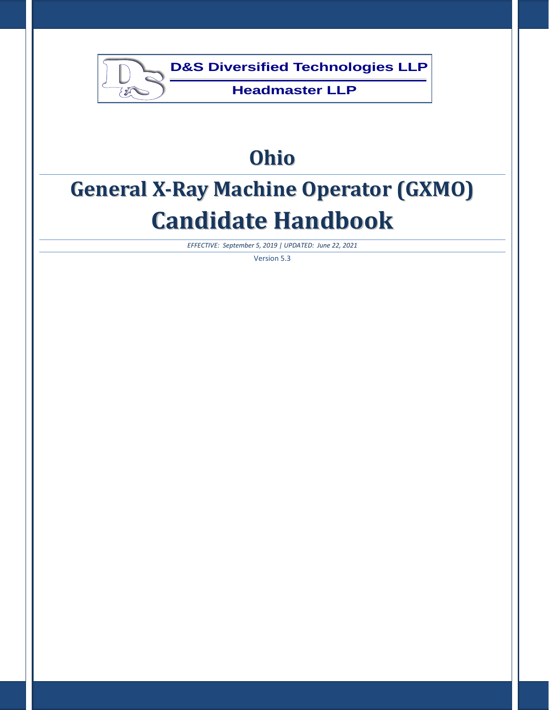

# **Ohio**

# **General X-Ray Machine Operator (GXMO) Candidate Handbook**

*EFFECTIVE: September 5, 2019 | UPDATED: June 22, 2021*

Version 5.3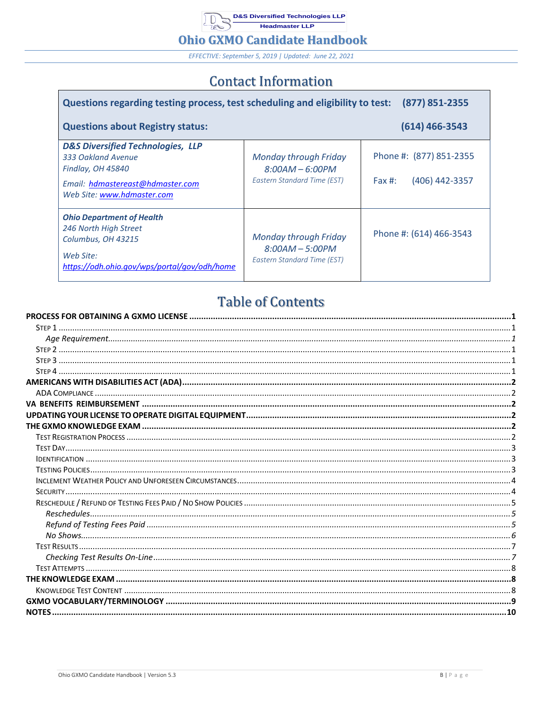**D&S Diversified Technologies LLP**  $10<sub>2</sub>$ Headmaster LLP

### **Ohio GXMO Candidate Handbook**

EFFECTIVE: September 5, 2019 | Updated: June 22, 2021

# **Contact Information**

| Questions regarding testing process, test scheduling and eligibility to test:                                                                             |                                                                                  | (877) 851-2355                                         |
|-----------------------------------------------------------------------------------------------------------------------------------------------------------|----------------------------------------------------------------------------------|--------------------------------------------------------|
| <b>Questions about Registry status:</b>                                                                                                                   |                                                                                  | $(614)$ 466-3543                                       |
| <b>D&amp;S Diversified Technologies, LLP</b><br>333 Oakland Avenue<br>Findlay, OH 45840<br>Email: hdmastereast@hdmaster.com<br>Web Site: www.hdmaster.com | <b>Monday through Friday</b><br>$8:00AM - 6:00PM$<br>Eastern Standard Time (EST) | Phone #: (877) 851-2355<br>(406) 442-3357<br>Fax $#$ : |
| <b>Ohio Department of Health</b><br>246 North High Street<br>Columbus, OH 43215<br>Web Site:<br>https://odh.ohio.gov/wps/portal/gov/odh/home              | <b>Monday through Friday</b><br>$8:00AM - 5:00PM$<br>Eastern Standard Time (EST) | Phone #: (614) 466-3543                                |

# **Table of Contents**

 $\blacksquare$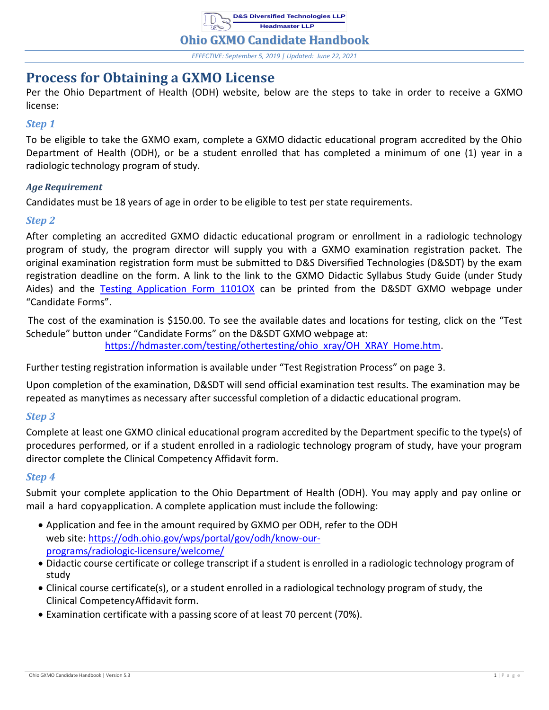**D&S Diversified Technologies LLP Headmaster LLP**

**Ohio GXMO Candidate Handbook**

*EFFECTIVE: September 5, 2019 | Updated: June 22, 2021*

# <span id="page-2-0"></span>**Process for Obtaining a GXMO License**

Per the Ohio Department of Health (ODH) website, below are the steps to take in order to receive a GXMO license:

### <span id="page-2-1"></span>*Step 1*

To be eligible to take the GXMO exam, complete a GXMO didactic educational program accredited by the Ohio Department of Health (ODH), or be a student enrolled that has completed a minimum of one (1) year in a radiologic technology program of study.

# <span id="page-2-2"></span>*Age Requirement*

Candidates must be 18 years of age in order to be eligible to test per state requirements.

# <span id="page-2-3"></span>*Step 2*

After completing an accredited GXMO didactic educational program or enrollment in a radiologic technology program of study, the program director will supply you with a GXMO examination registration packet. The original examination registration form must be submitted to D&S Diversified Technologies (D&SDT) by the exam registration deadline on the form. A link to the link to the GXMO Didactic Syllabus Study Guide (under Study Aides) and the [Testing Application Form 1101OX](https://hdmaster.com/testing/othertesting/ohio_xray/oxformpages/oxforms/1101OX.pdf) can be printed from the D&SDT GXMO webpage under "Candidate Forms".

The cost of the examination is \$150.00. To see the available dates and locations for testing, click on the "Test Schedule" button under "Candidate Forms" on the D&SDT GXMO webpage at: [https://hdmaster.com/testing/othertesting/ohio\\_xray/OH\\_XRAY\\_Home.htm.](https://hdmaster.com/testing/othertesting/ohio_xray/OH_XRAY_Home.htm)

Further testing registration information is available under "Test Registration Process" on page 3.

Upon completion of the examination, D&SDT will send official examination test results. The examination may be repeated as manytimes as necessary after successful completion of a didactic educational program.

# <span id="page-2-4"></span>*Step 3*

Complete at least one GXMO clinical educational program accredited by the Department specific to the type(s) of procedures performed, or if a student enrolled in a radiologic technology program of study, have your program director complete the [Clinical](https://odh.ohio.gov/wps/portal/gov/odh/know-our-programs/radiologic-licensure/general-info-fees/radiologic-licensure-gxmo-requirements/!ut/p/z1/jZDBDoIwEES_xQ9ouhhs9EiMAioaBRR7MY2utQm0WtAYv17iDaPo3iZ5s7M7lNOMci1uSopKGS3yWm85280Hvuc4U5hD4DFYusHa9UfxKnYdumkC_aTnwXLBUn86jsPE7VH-jx--jAf_-VsA3r5-8iugbqBro2EkKT-L6kSUPhqaSdRoRf5S5IhY0syKgzK5kWpPcrVHXV4tEnkvDLF4uSqLBeqqrA_mzUifzQZ1ZVEycSAKYcjegQ-d_vrqXKRp9pgFoMLOExOYwoE!/?1dmy&urile=wcm%3apath%3a%2Fohio%2Bcontent%2Benglish%2Fodh%2Fknow-our-programs%2Fradiologic-licensure%2Feducation%2Fgxmo-clinical-module-affidavit-hea5525) [Competency](https://odh.ohio.gov/wps/portal/gov/odh/know-our-programs/radiologic-licensure/general-info-fees/radiologic-licensure-gxmo-requirements/!ut/p/z1/jZDBDoIwEES_xQ9ouhhs9EiMAioaBRR7MY2utQm0WtAYv17iDaPo3iZ5s7M7lNOMci1uSopKGS3yWm85280Hvuc4U5hD4DFYusHa9UfxKnYdumkC_aTnwXLBUn86jsPE7VH-jx--jAf_-VsA3r5-8iugbqBro2EkKT-L6kSUPhqaSdRoRf5S5IhY0syKgzK5kWpPcrVHXV4tEnkvDLF4uSqLBeqqrA_mzUifzQZ1ZVEycSAKYcjegQ-d_vrqXKRp9pgFoMLOExOYwoE!/?1dmy&urile=wcm%3apath%3a%2Fohio%2Bcontent%2Benglish%2Fodh%2Fknow-our-programs%2Fradiologic-licensure%2Feducation%2Fgxmo-clinical-module-affidavit-hea5525) Affidavit form.

### <span id="page-2-5"></span>*Step 4*

Submit your complete application to the Ohio Department of Health (ODH). You may apply and pay online or mail a hard copyapplication. A complete application must include the following:

- Application and fee in the amount required by GXMO per ODH, refer to the ODH web site: [https://odh.ohio.gov/wps/portal/gov/odh/know-our](https://odh.ohio.gov/wps/portal/gov/odh/know-our-programs/radiologic-licensure/welcome/)[programs/radiologic-licensure/welcome/](https://odh.ohio.gov/wps/portal/gov/odh/know-our-programs/radiologic-licensure/welcome/)
- Didactic course certificate or college transcript if a student is enrolled in a radiologic technology program of study
- Clinical course certificate(s), or a student enrolled in a radiological technology program of study, the [Clinical CompetencyAffidavit](https://odh.ohio.gov/wps/portal/gov/odh/know-our-programs/radiologic-licensure/general-info-fees/radiologic-licensure-gxmo-requirements/!ut/p/z1/jVFNT4QwEP01HKFFWcJ6IxuF_WB1BVzsxbA4lCalxRbE-Ott9IRZV-b2Ju_NvHmDCCoQEeU7o2XPpCi5wc_Ef9kvo9B1t3iP49DHBy9-8qLb9DH1XHScEoJsEeLDvZ9H27t0nXkLRObo8R8V4nn6CwRyefzmvwUmgSuVrBKKSFf2jc1ELVFBQYAq-TeyawCNClW-MsklZZXNWQVCDwps-tFKW8HbwBS0IHptDJPpysjfLU1kSbZxcbLGK_834UymM66iXJ5-HhiK03Vg7CuoQYFyBmXaTd93-sbCFh7H0aFSUg5OJVsLn5M0UveomDJR1-Z58bmLMXtoj4EOvwAjg-c8/?1dmy&urile=wcm%3apath%3a%2Fohio%2Bcontent%2Benglish%2Fodh%2Fknow-our-programs%2Fradiologic-licensure%2Feducation%2Fgxmo-clinical-module-affidavit-hea5525) form.
- Examination certificate with a passing score of at least 70 percent (70%).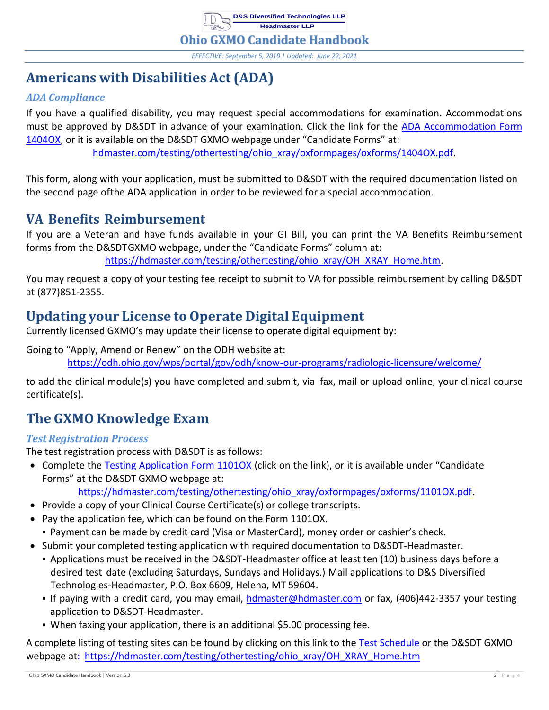

*EFFECTIVE: September 5, 2019 | Updated: June 22, 2021*

# <span id="page-3-0"></span>**Americans with Disabilities Act (ADA)**

# <span id="page-3-1"></span>*ADA Compliance*

If you have a qualified disability, you may request special accommodations for examination. Accommodations must be approved by D&SDT in advance of your examination. Click the link for the [ADA Accommodation Form](https://hdmaster.com/testing/othertesting/ohio_xray/oxformpages/oxforms/1404OX.pdf)  [1404OX, o](https://hdmaster.com/testing/othertesting/ohio_xray/oxformpages/oxforms/1404OX.pdf)r it is available on the D&SDT GXMO webpage under "Candidate Forms" at: [hdmaster.com/testing/othertesting/ohio\\_xray/oxformpages/oxforms/1404OX.pdf.](https://hdmaster.com/testing/othertesting/ohio_xray/oxformpages/oxforms/1404OX.pdf)

This form, along with your application, must be submitted to D&SDT with the required documentation listed on the second page ofthe ADA application in order to be reviewed for a special accommodation.

# <span id="page-3-2"></span>**VA Benefits Reimbursement**

If you are a Veteran and have funds available in your GI Bill, you can print the VA Benefits Reimbursement forms from the D&SDTGXMO webpage, under the "Candidate Forms" column at:

[https://hdmaster.com/testing/othertesting/ohio\\_xray/OH\\_XRAY\\_Home.htm.](https://hdmaster.com/testing/othertesting/ohio_xray/OH_XRAY_Home.htm)

You may request a copy of your testing fee receipt to submit to VA for possible reimbursement by calling D&SDT at (877)851-2355.

# <span id="page-3-3"></span>**Updating your License to Operate Digital Equipment**

Currently licensed GXMO's may update their license to operate digital equipment by:

Going to "Apply, Amend or Renew" on the ODH website at:

<https://odh.ohio.gov/wps/portal/gov/odh/know-our-programs/radiologic-licensure/welcome/>

to add the clinical module(s) you have completed and submit, via fax, mail or upload online, your clinical course certificate(s).

# <span id="page-3-4"></span>**The GXMO Knowledge Exam**

# <span id="page-3-5"></span>*Test Registration Process*

The test registration process with D&SDT is as follows:

• Complete the Testing [Application](https://hdmaster.com/testing/othertesting/ohio_xray/oxformpages/oxforms/1101OX.pdf) Form 1101OX (click on the link), or it is available under "Candidate Forms" at the D&SDT GXMO webpage at:

[https://hdmaster.com/testing/othertesting/ohio\\_xray/oxformpages/oxforms/1101OX.pdf.](https://hdmaster.com/testing/othertesting/ohio_xray/oxformpages/oxforms/1101OX.pdf)

- Provide a copy of your Clinical Course Certificate(s) or college transcripts.
- Pay the application fee, which can be found on the Form 1101OX. ▪ Payment can be made by credit card (Visa or MasterCard), money order or cashier's check.
- Submit your completed testing application with required documentation to D&SDT-Headmaster.
	- Applications must be received in the D&SDT-Headmaster office at least ten (10) business days before a desired test date (excluding Saturdays, Sundays and Holidays.) Mail applications to D&S Diversified Technologies-Headmaster, P.O. Box 6609, Helena, MT 59604.
	- If paying with a credit card, you may email, [hdmaster@hdmaster.com](mailto:hdmaster@hdmaster.com) or fax, (406)442-3357 your testing application to D&SDT-Headmaster.
	- When faxing your application, there is an additional \$5.00 processing fee.

A complete listing of testing sites can be found by clicking on this link to the Test [Schedule](https://www.dandsdiversifiedtech.com/cgi-bin/CGIRegMaster/schedule?StateAbbrv=OX) or the D&SDT GXMO webpage at: [https://hdmaster.com/testing/othertesting/ohio\\_xray/OH\\_XRAY\\_Home.htm](https://hdmaster.com/testing/othertesting/ohio_xray/OH_XRAY_Home.htm.)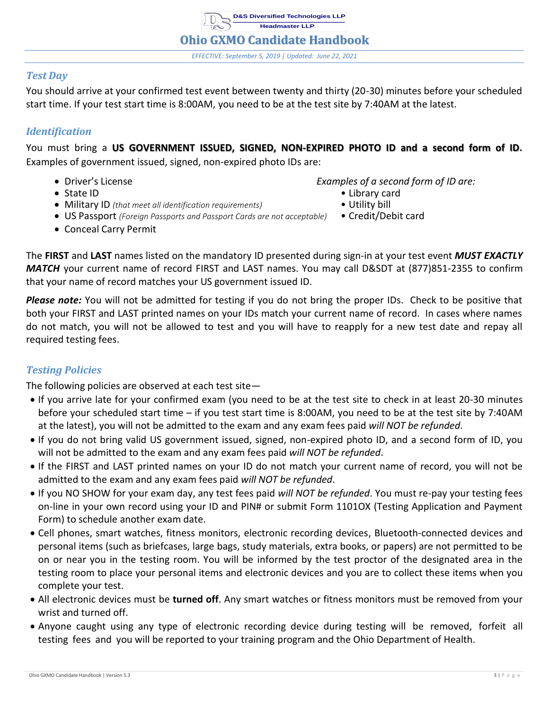**D&S Diversified Technologies LLP Headmaster LLP Ohio GXMO Candidate Handbook** *EFFECTIVE: September 5, 2019 | Updated: June 22, 2021*

### <span id="page-4-0"></span>*Test Day*

You should arrive at your confirmed test event between twenty and thirty (20-30) minutes before your scheduled start time. If your test start time is 8:00AM, you need to be at the test site by 7:40AM at the latest.

# <span id="page-4-1"></span>*Identification*

You must bring a **US GOVERNMENT ISSUED, SIGNED, NON-EXPIRED PHOTO ID and a second form of ID.** Examples of government issued, signed, non-expired photo IDs are:

- 
- 
- Driver's License *Examples of a second form of ID are:*
- State ID Library card
- Military ID *(that meet all identification requirements)* Utility bill
- US Passport *(Foreign Passports and Passport Cards are not acceptable)* Credit/Debit card
- Conceal Carry Permit

The **FIRST** and **LAST** names listed on the mandatory ID presented during sign-in at your test event *MUST EXACTLY MATCH* your current name of record FIRST and LAST names. You may call D&SDT at (877)851-2355 to confirm that your name of record matches your US government issued ID.

*Please note:* You will not be admitted for testing if you do not bring the proper IDs. Check to be positive that both your FIRST and LAST printed names on your IDs match your current name of record. In cases where names do not match, you will not be allowed to test and you will have to reapply for a new test date and repay all required testing fees.

# <span id="page-4-2"></span>*Testing Policies*

The following policies are observed at each test site—

- If you arrive late for your confirmed exam (you need to be at the test site to check in at least 20-30 minutes before your scheduled start time – if you test start time is 8:00AM, you need to be at the test site by 7:40AM at the latest), you will not be admitted to the exam and any exam fees paid *will NOT be refunded*.
- If you do not bring valid US government issued, signed, non-expired photo ID, and a second form of ID, you will not be admitted to the exam and any exam fees paid *will NOT be refunded*.
- If the FIRST and LAST printed names on your ID do not match your current name of record, you will not be admitted to the exam and any exam fees paid *will NOT be refunded*.
- If you NO SHOW for your exam day, any test fees paid *will NOT be refunded*. You must re-pay your testing fees on-line in your own record using your ID and PIN# or submit Form 1101OX (Testing Application and Payment Form) to schedule another exam date.
- Cell phones, smart watches, fitness monitors, electronic recording devices, Bluetooth-connected devices and personal items (such as briefcases, large bags, study materials, extra books, or papers) are not permitted to be on or near you in the testing room. You will be informed by the test proctor of the designated area in the testing room to place your personal items and electronic devices and you are to collect these items when you complete your test.
- All electronic devices must be **turned off**. Any smart watches or fitness monitors must be removed from your wrist and turned off.
- Anyone caught using any type of electronic recording device during testing will be removed, forfeit all testing fees and you will be reported to your training program and the Ohio Department of Health.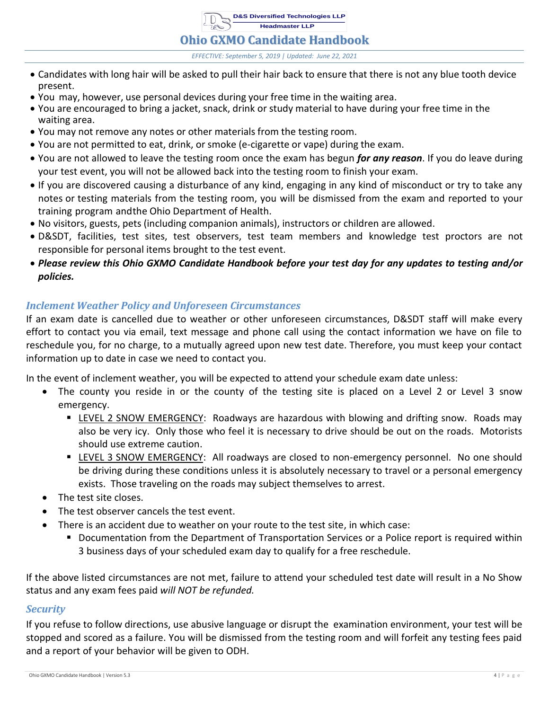**D&S Diversified Technologies LLP Headmaster LLP**

#### **Ohio GXMO Candidate Handbook**

*EFFECTIVE: September 5, 2019 | Updated: June 22, 2021*

- Candidates with long hair will be asked to pull their hair back to ensure that there is not any blue tooth device present.
- You may, however, use personal devices during your free time in the waiting area.
- You are encouraged to bring a jacket, snack, drink or study material to have during your free time in the waiting area.
- You may not remove any notes or other materials from the testing room.
- You are not permitted to eat, drink, or smoke (e-cigarette or vape) during the exam.
- You are not allowed to leave the testing room once the exam has begun *for any reason*. If you do leave during your test event, you will not be allowed back into the testing room to finish your exam.
- If you are discovered causing a disturbance of any kind, engaging in any kind of misconduct or try to take any notes or testing materials from the testing room, you will be dismissed from the exam and reported to your training program andthe Ohio Department of Health.
- No visitors, guests, pets (including companion animals), instructors or children are allowed.
- D&SDT, facilities, test sites, test observers, test team members and knowledge test proctors are not responsible for personal items brought to the test event.
- *Please review this Ohio GXMO Candidate Handbook before your test day for any updates to testing and/or policies.*

### <span id="page-5-0"></span>*Inclement Weather Policy and Unforeseen Circumstances*

If an exam date is cancelled due to weather or other unforeseen circumstances, D&SDT staff will make every effort to contact you via email, text message and phone call using the contact information we have on file to reschedule you, for no charge, to a mutually agreed upon new test date. Therefore, you must keep your contact information up to date in case we need to contact you.

In the event of inclement weather, you will be expected to attend your schedule exam date unless:

- The county you reside in or the county of the testing site is placed on a Level 2 or Level 3 snow emergency.
	- **EXALM** LEVEL 2 SNOW EMERGENCY: Roadways are hazardous with blowing and drifting snow. Roads may also be very icy. Only those who feel it is necessary to drive should be out on the roads. Motorists should use extreme caution.
	- **EXEL 3 SNOW EMERGENCY:** All roadways are closed to non-emergency personnel. No one should be driving during these conditions unless it is absolutely necessary to travel or a personal emergency exists. Those traveling on the roads may subject themselves to arrest.
- The test site closes.
- The test observer cancels the test event.
- There is an accident due to weather on your route to the test site, in which case:
	- Documentation from the Department of Transportation Services or a Police report is required within 3 business days of your scheduled exam day to qualify for a free reschedule.

If the above listed circumstances are not met, failure to attend your scheduled test date will result in a No Show status and any exam fees paid *will NOT be refunded.*

### <span id="page-5-1"></span>*Security*

If you refuse to follow directions, use abusive language or disrupt the examination environment, your test will be stopped and scored as a failure. You will be dismissed from the testing room and will forfeit any testing fees paid and a report of your behavior will be given to ODH.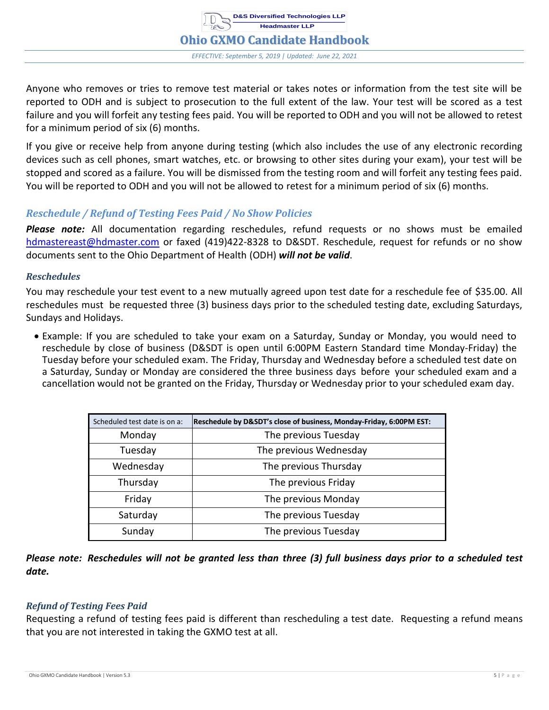

Anyone who removes or tries to remove test material or takes notes or information from the test site will be reported to ODH and is subject to prosecution to the full extent of the law. Your test will be scored as a test failure and you will forfeit any testing fees paid. You will be reported to ODH and you will not be allowed to retest for a minimum period of six (6) months.

If you give or receive help from anyone during testing (which also includes the use of any electronic recording devices such as cell phones, smart watches, etc. or browsing to other sites during your exam), your test will be stopped and scored as a failure. You will be dismissed from the testing room and will forfeit any testing fees paid. You will be reported to ODH and you will not be allowed to retest for a minimum period of six (6) months.

### <span id="page-6-0"></span>*Reschedule / Refund of Testing Fees Paid / No Show Policies*

*Please note:* All documentation regarding reschedules, refund requests or no shows must be emailed [hdmastereast@hdmaster.com](mailto:hdmastereast@hdmaster.com) or faxed (419)422-8328 to D&SDT. Reschedule, request for refunds or no show documents sent to the Ohio Department of Health (ODH) *will not be valid*.

#### <span id="page-6-1"></span>*Reschedules*

You may reschedule your test event to a new mutually agreed upon test date for a reschedule fee of \$35.00. All reschedules must be requested three (3) business days prior to the scheduled testing date, excluding Saturdays, Sundays and Holidays.

• Example: If you are scheduled to take your exam on a Saturday, Sunday or Monday, you would need to reschedule by close of business (D&SDT is open until 6:00PM Eastern Standard time Monday-Friday) the Tuesday before your scheduled exam. The Friday, Thursday and Wednesday before a scheduled test date on a Saturday, Sunday or Monday are considered the three business days before your scheduled exam and a cancellation would not be granted on the Friday, Thursday or Wednesday prior to your scheduled exam day.

| Scheduled test date is on a: | Reschedule by D&SDT's close of business, Monday-Friday, 6:00PM EST: |
|------------------------------|---------------------------------------------------------------------|
| Monday                       | The previous Tuesday                                                |
| Tuesday                      | The previous Wednesday                                              |
| Wednesday                    | The previous Thursday                                               |
| Thursday                     | The previous Friday                                                 |
| Friday                       | The previous Monday                                                 |
| Saturday                     | The previous Tuesday                                                |
| Sunday                       | The previous Tuesday                                                |

Please note: Reschedules will not be granted less than three (3) full business days prior to a scheduled test *date.*

### <span id="page-6-2"></span>*Refund of Testing Fees Paid*

Requesting a refund of testing fees paid is different than rescheduling a test date. Requesting a refund means that you are not interested in taking the GXMO test at all.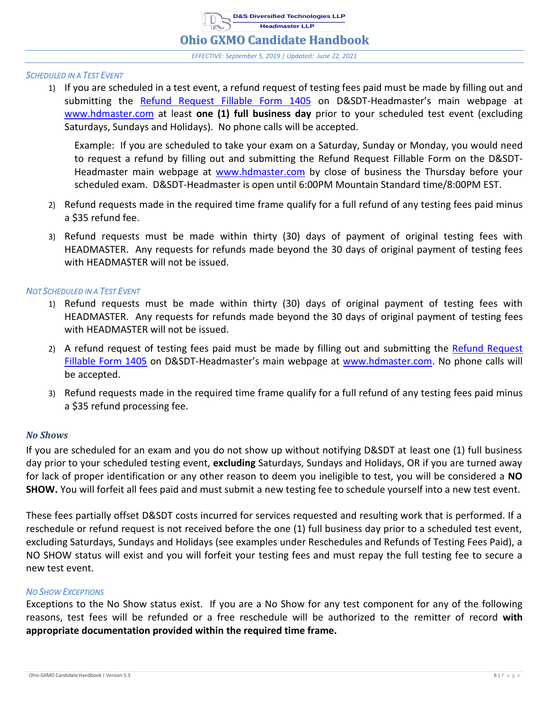**Ohio GXMO Candidate Handbook**

*EFFECTIVE: September 5, 2019 | Updated: June 22, 2021*

#### *SCHEDULED IN A TEST EVENT*

1) If you are scheduled in a test event, a refund request of testing fees paid must be made by filling out and submitting the [Refund Request Fillable Form](https://www.pdffiller.com/en/link_to_fill/619906959.htm) 1405 on D&SDT-Headmaster's main webpage at [www.hdmaster.com](http://www.hdmaster.com/) at least **one (1) full business day** prior to your scheduled test event (excluding Saturdays, Sundays and Holidays). No phone calls will be accepted.

Example: If you are scheduled to take your exam on a Saturday, Sunday or Monday, you would need to request a refund by filling out and submitting the Refund Request Fillable Form on the D&SDTHeadmaster main webpage at [www.hdmaster.com](http://www.hdmaster.com/) by close of business the Thursday before your scheduled exam. D&SDT-Headmaster is open until 6:00PM Mountain Standard time/8:00PM EST.

- 2) Refund requests made in the required time frame qualify for a full refund of any testing fees paid minus a \$35 refund fee.
- 3) Refund requests must be made within thirty (30) days of payment of original testing fees with HEADMASTER. Any requests for refunds made beyond the 30 days of original payment of testing fees with HEADMASTER will not be issued.

#### *NOT SCHEDULED IN A TEST EVENT*

- 1) Refund requests must be made within thirty (30) days of original payment of testing fees with HEADMASTER. Any requests for refunds made beyond the 30 days of original payment of testing fees with HEADMASTER will not be issued.
- 2) A refund request of testing fees paid must be made by filling out and submitting the Refund Request [Fillable Form](https://www.pdffiller.com/en/link_to_fill/619906959.htm) 1405 on D&SDT-Headmaster's main webpage at [www.hdmaster.com.](http://www.hdmaster.com/) No phone calls will be accepted.
- 3) Refund requests made in the required time frame qualify for a full refund of any testing fees paid minus a \$35 refund processing fee.

#### <span id="page-7-0"></span>*No Shows*

If you are scheduled for an exam and you do not show up without notifying D&SDT at least one (1) full business day prior to your scheduled testing event, **excluding** Saturdays, Sundays and Holidays, OR if you are turned away for lack of proper identification or any other reason to deem you ineligible to test, you will be considered a **NO SHOW.** You will forfeit all fees paid and must submit a new testing fee to schedule yourself into a new test event.

These fees partially offset D&SDT costs incurred for services requested and resulting work that is performed. If a reschedule or refund request is not received before the one (1) full business day prior to a scheduled test event, excluding Saturdays, Sundays and Holidays (see examples under Reschedules and Refunds of Testing Fees Paid), a NO SHOW status will exist and you will forfeit your testing fees and must repay the full testing fee to secure a new test event.

#### *NO SHOW EXCEPTIONS*

Exceptions to the No Show status exist. If you are a No Show for any test component for any of the following reasons, test fees will be refunded or a free reschedule will be authorized to the remitter of record **with appropriate documentation provided within the required time frame.**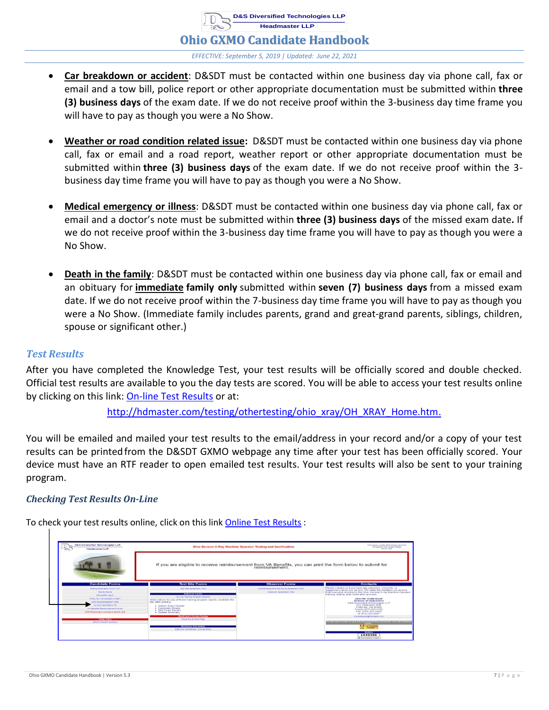**Headmaster LLP Ohio GXMO Candidate Handbook** *EFFECTIVE: September 5, 2019 | Updated: June 22, 2021*

• **Car breakdown or accident**: D&SDT must be contacted within one business day via phone call, fax or email and a tow bill, police report or other appropriate documentation must be submitted within **three (3) business days** of the exam date. If we do not receive proof within the 3-business day time frame you will have to pay as though you were a No Show.

**D&S Diversified Technologies LLP**

- **Weather or road condition related issue:** D&SDT must be contacted within one business day via phone call, fax or email and a road report, weather report or other appropriate documentation must be submitted within **three (3) business days** of the exam date. If we do not receive proof within the 3 business day time frame you will have to pay as though you were a No Show.
- **Medical emergency or illness**: D&SDT must be contacted within one business day via phone call, fax or email and a doctor's note must be submitted within **three (3) business days** of the missed exam date**.** If we do not receive proof within the 3-business day time frame you will have to pay as though you were a No Show.
- **Death in the family**: D&SDT must be contacted within one business day via phone call, fax or email and an obituary for **immediate family only** submitted within **seven (7) business days** from a missed exam date. If we do not receive proof within the 7-business day time frame you will have to pay as though you were a No Show. (Immediate family includes parents, grand and great-grand parents, siblings, children, spouse or significant other.)

### <span id="page-8-0"></span>*Test Results*

After you have completed the Knowledge Test, your test results will be officially scored and double checked. Official test results are available to you the day tests are scored. You will be able to access your test results online by clicking on this link: [On-line Test Results](https://www.dandsdiversifiedtech.com/OX/OXCNA_LoginResults.html) or at:

[http://hdmaster.com/testing/othertesting/ohio\\_xray/OH\\_XRAY\\_Home.htm.](http://hdmaster.com/testing/othertesting/ohio_xray/OH_XRAY_Home.htm.)

You will be emailed and mailed your test results to the email/address in your record and/or a copy of your test results can be printedfrom the D&SDT GXMO webpage any time after your test has been officially scored. Your device must have an RTF reader to open emailed test results. Your test results will also be sent to your training program.

### <span id="page-8-1"></span>*Checking Test Results On-Line*

To check your test results online, click on this link Online Test [Results](https://www.dandsdiversifiedtech.com/OX/OXCNA_LoginResults.html) :

| <b>D&amp;S Diversified Technologies LLP</b><br>18<br>Headmaster LLP                                                                  | Ohio General X-Ray Machine Operator Testing and Certification                                                                                                                              |                                                                            | Innovative, quality lechniciary equilisms<br>Winds-garrent from Limited Hitaters<br>sures a 1945.                                                                                                                                                                                                                                                    |
|--------------------------------------------------------------------------------------------------------------------------------------|--------------------------------------------------------------------------------------------------------------------------------------------------------------------------------------------|----------------------------------------------------------------------------|------------------------------------------------------------------------------------------------------------------------------------------------------------------------------------------------------------------------------------------------------------------------------------------------------------------------------------------------------|
|                                                                                                                                      | If you are eligible to receive reimbursement from VA Benefits, you can print the form below to submit for                                                                                  |                                                                            |                                                                                                                                                                                                                                                                                                                                                      |
| <b>Candidate Forms</b>                                                                                                               | <b>Test Site Forms</b>                                                                                                                                                                     | <b>Observer Forms</b>                                                      | <b>Contacts</b>                                                                                                                                                                                                                                                                                                                                      |
| Texting Application Form 1101<br><b>THAT BUNGALOR</b><br>Candidate Logisti<br>When Am I Scheduled to Text?<br>ADA Accommodation 1404 | Test Site Agreement 1502<br><b>Instructor Forms</b><br><b>Onion Training Program Resorts</b><br>Select above for any of these training program reports, available the<br>day after grading | Configertiam/Romfacingure Agreement 1501<br><b>Observer Agreement 1505</b> | Please contact us if you have any questions, concerns, or<br>suggestions about our service. We value the feedback we receive<br>from everyone involved in the Chio General X-ray Machine Operator<br>training, teating, and certification process.<br>Jennifer Underwood<br><b>Director of Operations</b><br><b>DAS Diversified Technologies LLP</b> |
| Constructions Park Rolls, T.O.<br><b>Ville Businessee Havenly creationals Parties</b><br><b>CON Radiologic Licensure Guick Lisk</b>  | · Written Exam Details<br>. Corolistate Details<br>- Bicili Exam Details<br>· Retake Summary                                                                                               |                                                                            | 333 OAKLAND AVE<br>FINDLAY, OH 45040<br>Phone:(677) 851-2355<br>Fax: (410) 422-8320<br>mr (439) 422-8367                                                                                                                                                                                                                                             |
| <b><i><u>Masty Aides</u></i></b>                                                                                                     | Welch Text @ Cit (ass Texting)<br>WebEText @ Start Pape                                                                                                                                    |                                                                            | Futurialdare asitalphotocaster com                                                                                                                                                                                                                                                                                                                   |
| <b>GXMO Chilectes By liabus</b>                                                                                                      | Wincheleige Informations<br>Institution Womenston-Coming Sound                                                                                                                             |                                                                            | the word current in consideration and county served proced from a big mountain procession in "street prime consideration<br>__<br><b>FAN</b> Ger Acquires                                                                                                                                                                                            |
|                                                                                                                                      |                                                                                                                                                                                            |                                                                            | <b>Waition</b><br>1548350<br>Life Reasonant Peare Countries                                                                                                                                                                                                                                                                                          |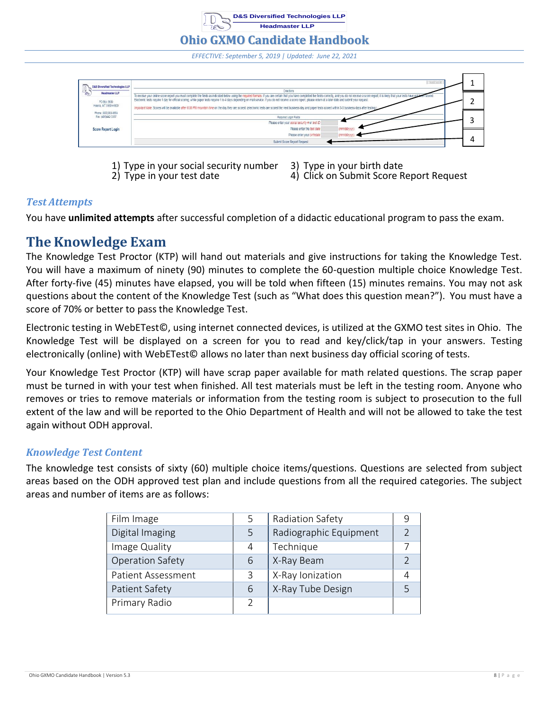**Ohio GXMO Candidate Handbook** *EFFECTIVE: September 5, 2019 | Updated: June 22, 2021*

**D&S Diversified Technologies LLP Headmaster LLP**



1) Type in your social security number 3) Type in your birth date

2) Type in your test date 4) Click on Submit Score Report Request

# <span id="page-9-0"></span>*Test Attempts*

You have **unlimited attempts** after successful completion of a didactic educational program to pass the exam.

# <span id="page-9-1"></span>**The Knowledge Exam**

The Knowledge Test Proctor (KTP) will hand out materials and give instructions for taking the Knowledge Test. You will have a maximum of ninety (90) minutes to complete the 60-question multiple choice Knowledge Test. After forty-five (45) minutes have elapsed, you will be told when fifteen (15) minutes remains. You may not ask questions about the content of the Knowledge Test (such as "What does this question mean?"). You must have a score of 70% or better to pass the Knowledge Test.

Electronic testing in WebETest©, using internet connected devices, is utilized at the GXMO test sites in Ohio. The Knowledge Test will be displayed on a screen for you to read and key/click/tap in your answers. Testing electronically (online) with WebETest© allows no later than next business day official scoring of tests.

Your Knowledge Test Proctor (KTP) will have scrap paper available for math related questions. The scrap paper must be turned in with your test when finished. All test materials must be left in the testing room. Anyone who removes or tries to remove materials or information from the testing room is subject to prosecution to the full extent of the law and will be reported to the Ohio Department of Health and will not be allowed to take the test again without ODH approval.

# <span id="page-9-2"></span>*Knowledge Test Content*

The knowledge test consists of sixty (60) multiple choice items/questions. Questions are selected from subject areas based on the ODH approved test plan and include questions from all the required categories. The subject areas and number of items are as follows:

| Film Image                | 5             | Radiation Safety       | 9             |
|---------------------------|---------------|------------------------|---------------|
| Digital Imaging           | 5             | Radiographic Equipment | $\mathcal{D}$ |
| Image Quality             | 4             | Technique              |               |
| <b>Operation Safety</b>   | 6             | X-Ray Beam             | $\mathcal{D}$ |
| <b>Patient Assessment</b> | 3             | X-Ray Ionization       | 4             |
| Patient Safety            | 6             | X-Ray Tube Design      | 5             |
| Primary Radio             | $\mathcal{P}$ |                        |               |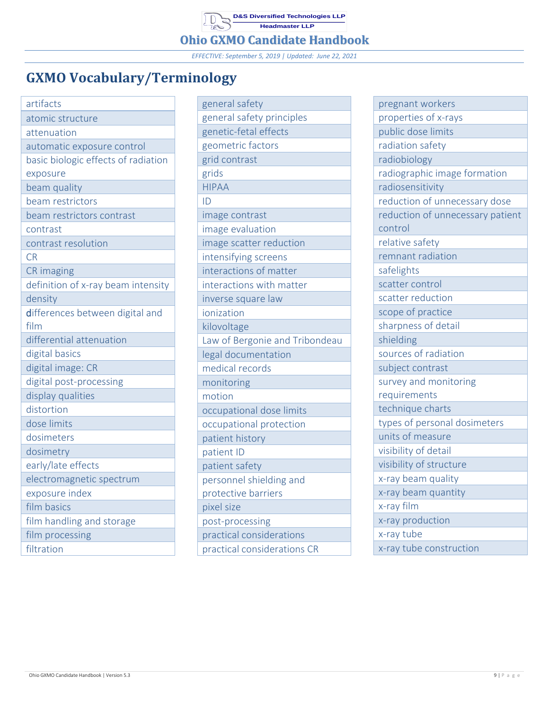**D&S Diversified Technologies LLP Headmaster LLP**

**Ohio GXMO Candidate Handbook**

*EFFECTIVE: September 5, 2019 | Updated: June 22, 2021*

# <span id="page-10-0"></span>**GXMO Vocabulary/Terminology**

| artifacts                           |
|-------------------------------------|
| atomic structure                    |
| attenuation                         |
| automatic exposure control          |
| basic biologic effects of radiation |
| exposure                            |
| beam quality                        |
| beam restrictors                    |
| beam restrictors contrast           |
| contrast                            |
| contrast resolution                 |
| <b>CR</b>                           |
| <b>CR</b> imaging                   |
| definition of x-ray beam intensity  |
| density                             |
| differences between digital and     |
| film                                |
| differential attenuation            |
| digital basics                      |
| digital image: CR                   |
| digital post-processing             |
| display qualities                   |
| distortion                          |
| dose limits                         |
| dosimeters                          |
| dosimetry                           |
| early/late effects                  |
| electromagnetic spectrum            |
| exposure index                      |
| film basics                         |
| film handling and storage           |
| film processing                     |
| filtration                          |

| general safety                 |
|--------------------------------|
| general safety principles      |
| genetic-fetal effects          |
| geometric factors              |
| grid contrast                  |
| grids                          |
| <b>HIPAA</b>                   |
| ID                             |
| image contrast                 |
| image evaluation               |
| image scatter reduction        |
| intensifying screens           |
| interactions of matter         |
| interactions with matter       |
| inverse square law             |
| ionization                     |
| kilovoltage                    |
| Law of Bergonie and Tribondeau |
| legal documentation            |
| medical records                |
| monitoring                     |
| motion                         |
| occupational dose limits       |
| occupational protection        |
| patient history                |
| patient ID                     |
| patient safety                 |
| personnel shielding and        |
| protective barriers            |
| pixel size                     |
| post-processing                |
| practical considerations       |
| practical considerations CR    |

| pregnant workers                 |
|----------------------------------|
| properties of x-rays             |
| public dose limits               |
| radiation safety                 |
| radiobiology                     |
| radiographic image formation     |
| radiosensitivity                 |
| reduction of unnecessary dose    |
| reduction of unnecessary patient |
| control                          |
| relative safety                  |
| remnant radiation                |
| safelights                       |
| scatter control                  |
| scatter reduction                |
| scope of practice                |
| sharpness of detail              |
| shielding                        |
| sources of radiation             |
| subject contrast                 |
| survey and monitoring            |
| requirements                     |
| technique charts                 |
| types of personal dosimeters     |
| units of measure                 |
| visibility of detail             |
| visibility of structure          |
| x-ray beam quality               |
| x-ray beam quantity              |
| x-ray film                       |
| x-ray production                 |
| x-ray tube                       |
| x-ray tube construction          |